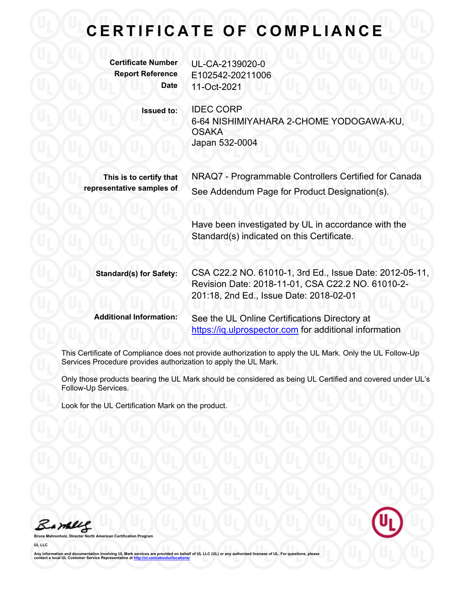## **CERTIFICATE OF COMPLIANCE**

| <b>Certificate Number</b><br><b>Report Reference</b><br><b>Date</b> | UL-CA-2139020-0<br>E102542-20211006<br>11-Oct-2021                                                                                                      |
|---------------------------------------------------------------------|---------------------------------------------------------------------------------------------------------------------------------------------------------|
| <b>Issued to:</b>                                                   | <b>IDEC CORP</b><br>6-64 NISHIMIYAHARA 2-CHOME YODOGAWA-KU,<br><b>OSAKA</b><br>Japan 532-0004                                                           |
| This is to certify that<br>representative samples of                | NRAQ7 - Programmable Controllers Certified for Canada<br>See Addendum Page for Product Designation(s).                                                  |
|                                                                     | Have been investigated by UL in accordance with the<br>Standard(s) indicated on this Certificate.                                                       |
| <b>Standard(s) for Safety:</b>                                      | CSA C22.2 NO. 61010-1, 3rd Ed., Issue Date: 2012-05-11,<br>Revision Date: 2018-11-01, CSA C22.2 NO. 61010-2-<br>201:18, 2nd Ed., Issue Date: 2018-02-01 |
| <b>Additional Information:</b>                                      | See the UL Online Certifications Directory at<br>https://iq.ulprospector.com for additional information                                                 |

This Certificate of Compliance does not provide authorization to apply the UL Mark. Only the UL Follow-Up Services Procedure provides authorization to apply the UL Mark.

Only those products bearing the UL Mark should be considered as being UL Certified and covered under UL's Follow-Up Services.

Look for the UL Certification Mark on the product.

Barbles

**Bruce Mahrenholz, Director North American Certification Program UL LLC**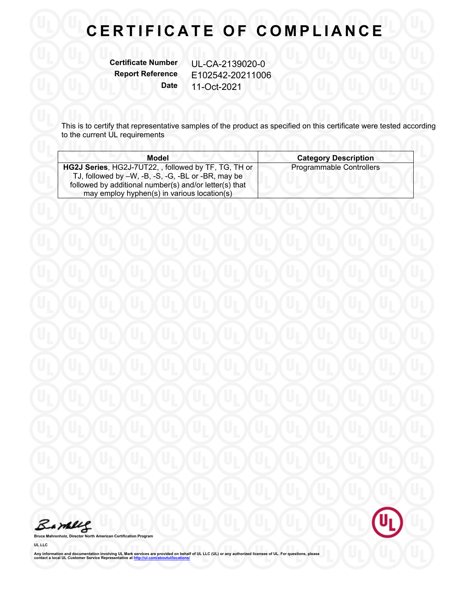## **CERTIFICATE OF COMPLIANCE**

**Certificate Number** UL-CA-2139020-0

**Report Reference** E102542-20211006 **Date** 11-Oct-2021

This is to certify that representative samples of the product as specified on this certificate were tested according to the current UL requirements

| <b>Model</b>                                                                                                                                                                                                        | <b>Category Description</b> |
|---------------------------------------------------------------------------------------------------------------------------------------------------------------------------------------------------------------------|-----------------------------|
| HG2J Series, HG2J-7UT22, , followed by TF, TG, TH or<br>TJ, followed by -W, -B, -S, -G, -BL or -BR, may be<br>followed by additional number(s) and/or letter(s) that<br>may employ hyphen(s) in various location(s) | Programmable Controllers    |

Barbles

**Bruce Mahrenholz, Director North American Certification Program**

**UL LLC**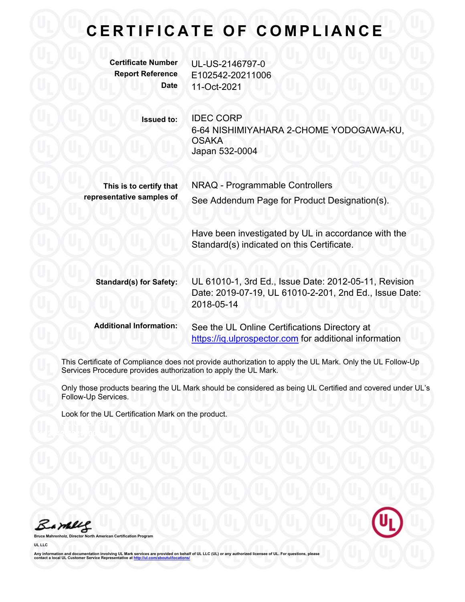## **C E R T I F I C A T E O F C O M P L I A N C E**

**Certificate Number** UL-US-2146797-0 **Report Reference** E102542-20211006 **Date** 11-Oct-2021

> **Issued to:** IDEC CORP 6-64 NISHIMIYAHARA 2-CHOME YODOGAWA-KU, **OSAKA** Japan 532-0004

**This is to certify that** NRAQ - Programmable Controllers **representative samples of** See Addendum Page for Product Designation(s).

> Have been investigated by UL in accordance with the Standard(s) indicated on this Certificate.

**Standard(s) for Safety:** UL 61010-1, 3rd Ed., Issue Date: 2012-05-11, Revision Date: 2019-07-19, UL 61010-2-201, 2nd Ed., Issue Date: 2018-05-14

**Additional Information:** See the UL Online Certifications Directory at https://iq.ulprospector.com for additional information

This Certificate of Compliance does not provide authorization to apply the UL Mark. Only the UL Follow-Up Services Procedure provides authorization to apply the UL Mark.

Only those products bearing the UL Mark should be considered as being UL Certified and covered under UL's Follow-Up Services.

Look for the UL Certification Mark on the product.

Barney

**b Broaran UL LLC**